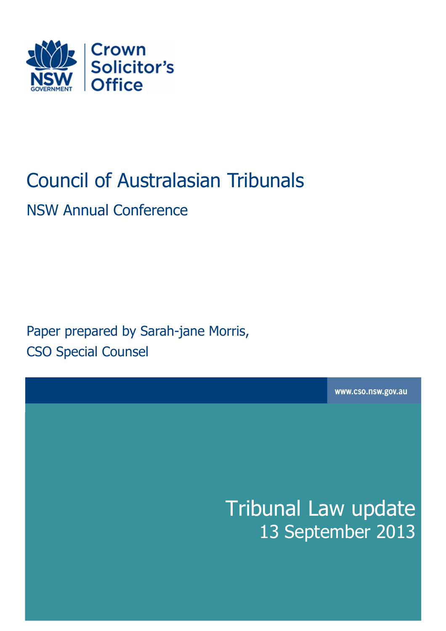

# Council of Australasian Tribunals

NSW Annual Conference

Paper prepared by Sarah-jane Morris, CSO Special Counsel

www.cso.nsw.gov.au

Tribunal Law update 13 September 2013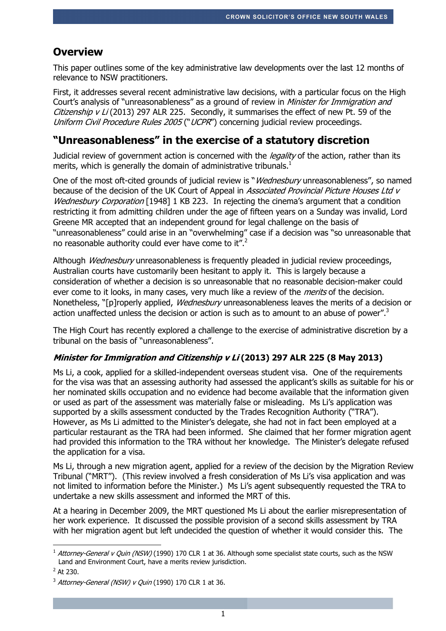# **Overview**

This paper outlines some of the key administrative law developments over the last 12 months of relevance to NSW practitioners.

First, it addresses several recent administrative law decisions, with a particular focus on the High Court's analysis of "unreasonableness" as a ground of review in *Minister for Immigration and* Citizenship  $v$  Li (2013) 297 ALR 225. Secondly, it summarises the effect of new Pt. 59 of the Uniform Civil Procedure Rules 2005 ("UCPR") concerning judicial review proceedings.

# **"Unreasonableness" in the exercise of a statutory discretion**

Judicial review of government action is concerned with the *legality* of the action, rather than its merits, which is generally the domain of administrative tribunals.<sup>1</sup>

One of the most oft-cited grounds of judicial review is "*Wednesbury* unreasonableness", so named because of the decision of the UK Court of Appeal in Associated Provincial Picture Houses Ltd v Wednesbury Corporation [1948] 1 KB 223. In rejecting the cinema's argument that a condition restricting it from admitting children under the age of fifteen years on a Sunday was invalid, Lord Greene MR accepted that an independent ground for legal challenge on the basis of "unreasonableness" could arise in an "overwhelming" case if a decision was "so unreasonable that no reasonable authority could ever have come to it".<sup>2</sup>

Although *Wednesbury* unreasonableness is frequently pleaded in judicial review proceedings, Australian courts have customarily been hesitant to apply it. This is largely because a consideration of whether a decision is so unreasonable that no reasonable decision-maker could ever come to it looks, in many cases, very much like a review of the *merits* of the decision. Nonetheless, "[p]roperly applied, *Wednesbury* unreasonableness leaves the merits of a decision or action unaffected unless the decision or action is such as to amount to an abuse of power".<sup>3</sup>

The High Court has recently explored a challenge to the exercise of administrative discretion by a tribunal on the basis of "unreasonableness".

## **Minister for Immigration and Citizenship v Li (2013) 297 ALR 225 (8 May 2013)**

Ms Li, a cook, applied for a skilled-independent overseas student visa. One of the requirements for the visa was that an assessing authority had assessed the applicant's skills as suitable for his or her nominated skills occupation and no evidence had become available that the information given or used as part of the assessment was materially false or misleading. Ms Li's application was supported by a skills assessment conducted by the Trades Recognition Authority ("TRA"). However, as Ms Li admitted to the Minister's delegate, she had not in fact been employed at a particular restaurant as the TRA had been informed. She claimed that her former migration agent had provided this information to the TRA without her knowledge. The Minister's delegate refused the application for a visa.

Ms Li, through a new migration agent, applied for a review of the decision by the Migration Review Tribunal ("MRT"). (This review involved a fresh consideration of Ms Li's visa application and was not limited to information before the Minister.) Ms Li's agent subsequently requested the TRA to undertake a new skills assessment and informed the MRT of this.

At a hearing in December 2009, the MRT questioned Ms Li about the earlier misrepresentation of her work experience. It discussed the possible provision of a second skills assessment by TRA with her migration agent but left undecided the question of whether it would consider this. The

<sup>1</sup> <sup>1</sup> Attorney-General y Quin (NSW) (1990) 170 CLR 1 at 36. Although some specialist state courts, such as the NSW Land and Environment Court, have a merits review jurisdiction.

 $2$  At 230.

 $3$  Attorney-General (NSW) v Quin (1990) 170 CLR 1 at 36.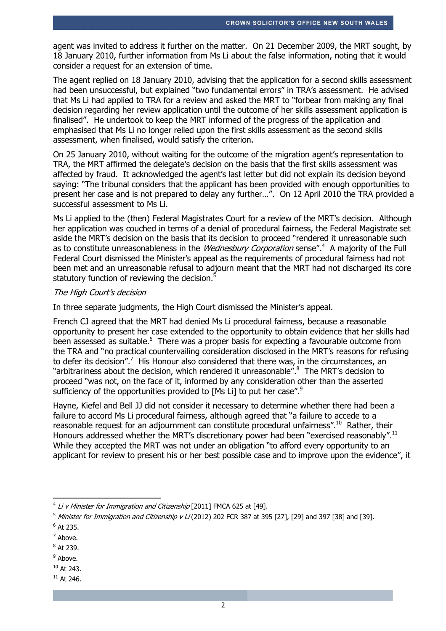agent was invited to address it further on the matter. On 21 December 2009, the MRT sought, by 18 January 2010, further information from Ms Li about the false information, noting that it would consider a request for an extension of time.

The agent replied on 18 January 2010, advising that the application for a second skills assessment had been unsuccessful, but explained "two fundamental errors" in TRA's assessment. He advised that Ms Li had applied to TRA for a review and asked the MRT to "forbear from making any final decision regarding her review application until the outcome of her skills assessment application is finalised". He undertook to keep the MRT informed of the progress of the application and emphasised that Ms Li no longer relied upon the first skills assessment as the second skills assessment, when finalised, would satisfy the criterion.

On 25 January 2010, without waiting for the outcome of the migration agent's representation to TRA, the MRT affirmed the delegate's decision on the basis that the first skills assessment was affected by fraud. It acknowledged the agent's last letter but did not explain its decision beyond saying: "The tribunal considers that the applicant has been provided with enough opportunities to present her case and is not prepared to delay any further…". On 12 April 2010 the TRA provided a successful assessment to Ms Li.

Ms Li applied to the (then) Federal Magistrates Court for a review of the MRT's decision. Although her application was couched in terms of a denial of procedural fairness, the Federal Magistrate set aside the MRT's decision on the basis that its decision to proceed "rendered it unreasonable such as to constitute unreasonableness in the *Wednesbury Corporation* sense".<sup>4</sup> A majority of the Full Federal Court dismissed the Minister's appeal as the requirements of procedural fairness had not been met and an unreasonable refusal to adjourn meant that the MRT had not discharged its core statutory function of reviewing the decision.<sup>5</sup>

#### The High Court's decision

In three separate judgments, the High Court dismissed the Minister's appeal.

French CJ agreed that the MRT had denied Ms Li procedural fairness, because a reasonable opportunity to present her case extended to the opportunity to obtain evidence that her skills had been assessed as suitable.<sup>6</sup> There was a proper basis for expecting a favourable outcome from the TRA and "no practical countervailing consideration disclosed in the MRT's reasons for refusing to defer its decision".<sup>7</sup> His Honour also considered that there was, in the circumstances, an "arbitrariness about the decision, which rendered it unreasonable".<sup>8</sup> The MRT's decision to proceed "was not, on the face of it, informed by any consideration other than the asserted sufficiency of the opportunities provided to [Ms Li] to put her case".<sup>9</sup>

Hayne, Kiefel and Bell JJ did not consider it necessary to determine whether there had been a failure to accord Ms Li procedural fairness, although agreed that "a failure to accede to a reasonable request for an adjournment can constitute procedural unfairness".<sup>10</sup> Rather, their Honours addressed whether the MRT's discretionary power had been "exercised reasonably".<sup>11</sup> While they accepted the MRT was not under an obligation "to afford every opportunity to an applicant for review to present his or her best possible case and to improve upon the evidence", it

-

- <sup>9</sup> Above.
- $10$  At 243.
- $11$  At 246.

 $^4$  *Li v Minister for Immigration and Citizenship* [2011] FMCA 625 at [49].

 $^5$  Minister for Immigration and Citizenship v Li (2012) 202 FCR 387 at 395 [27], [29] and 397 [38] and [39].

 $^6$  At 235.

<sup>&</sup>lt;sup>7</sup> Above.

<sup>&</sup>lt;sup>8</sup> At 239.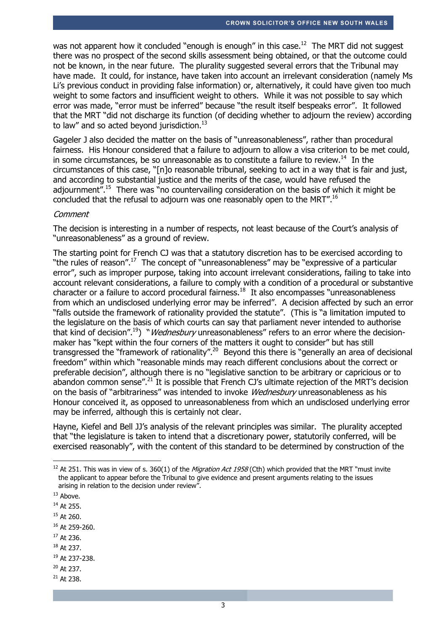was not apparent how it concluded "enough is enough" in this case.<sup>12</sup> The MRT did not suggest there was no prospect of the second skills assessment being obtained, or that the outcome could not be known, in the near future. The plurality suggested several errors that the Tribunal may have made. It could, for instance, have taken into account an irrelevant consideration (namely Ms Li's previous conduct in providing false information) or, alternatively, it could have given too much weight to some factors and insufficient weight to others. While it was not possible to say which error was made, "error must be inferred" because "the result itself bespeaks error". It followed that the MRT "did not discharge its function (of deciding whether to adjourn the review) according to law" and so acted beyond jurisdiction. $^{13}$ 

Gageler J also decided the matter on the basis of "unreasonableness", rather than procedural fairness. His Honour considered that a failure to adjourn to allow a visa criterion to be met could, in some circumstances, be so unreasonable as to constitute a failure to review.<sup>14</sup> In the circumstances of this case, "[n]o reasonable tribunal, seeking to act in a way that is fair and just, and according to substantial justice and the merits of the case, would have refused the adjournment".<sup>15</sup> There was "no countervailing consideration on the basis of which it might be concluded that the refusal to adjourn was one reasonably open to the MRT".<sup>16</sup>

#### **Comment**

The decision is interesting in a number of respects, not least because of the Court's analysis of "unreasonableness" as a ground of review.

The starting point for French CJ was that a statutory discretion has to be exercised according to "the rules of reason".<sup>17</sup> The concept of "unreasonableness" may be "expressive of a particular error", such as improper purpose, taking into account irrelevant considerations, failing to take into account relevant considerations, a failure to comply with a condition of a procedural or substantive character or a failure to accord procedural fairness.<sup>18</sup> It also encompasses "unreasonableness from which an undisclosed underlying error may be inferred". A decision affected by such an error "falls outside the framework of rationality provided the statute". (This is "a limitation imputed to the legislature on the basis of which courts can say that parliament never intended to authorise that kind of decision".<sup>19</sup>) "*Wednesbury* unreasonableness" refers to an error where the decisionmaker has "kept within the four corners of the matters it ought to consider" but has still transgressed the "framework of rationality".<sup>20</sup> Beyond this there is "generally an area of decisional freedom" within which "reasonable minds may reach different conclusions about the correct or preferable decision", although there is no "legislative sanction to be arbitrary or capricious or to abandon common sense".<sup>21</sup> It is possible that French CJ's ultimate rejection of the MRT's decision on the basis of "arbitrariness" was intended to invoke *Wednesbury* unreasonableness as his Honour conceived it, as opposed to unreasonableness from which an undisclosed underlying error may be inferred, although this is certainly not clear.

Hayne, Kiefel and Bell JJ's analysis of the relevant principles was similar. The plurality accepted that "the legislature is taken to intend that a discretionary power, statutorily conferred, will be exercised reasonably", with the content of this standard to be determined by construction of the

-

<sup>18</sup> At 237.

 $21$  At 238.

<sup>&</sup>lt;sup>12</sup> At 251. This was in view of s. 360(1) of the *Migration Act 1958* (Cth) which provided that the MRT "must invite the applicant to appear before the Tribunal to give evidence and present arguments relating to the issues arising in relation to the decision under review".

<sup>&</sup>lt;sup>13</sup> Above.

<sup>&</sup>lt;sup>14</sup> At 255.

 $15$  At 260.

<sup>16</sup> At 259-260.

<sup>&</sup>lt;sup>17</sup> At 236.

<sup>19</sup> At 237-238.

 $20$  At 237.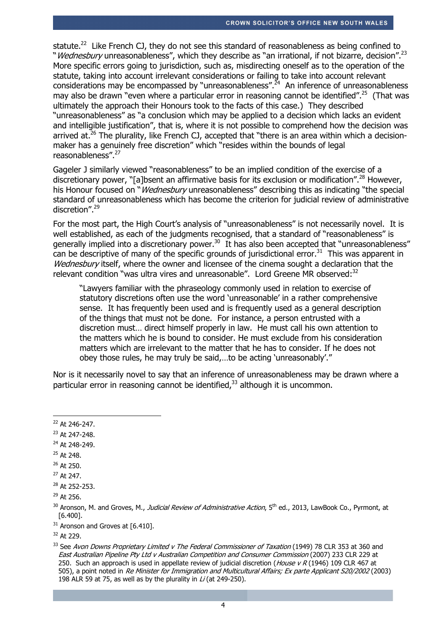statute.<sup>22</sup> Like French CJ, they do not see this standard of reasonableness as being confined to "Wednesbury unreasonableness", which they describe as "an irrational, if not bizarre, decision".<sup>23</sup> More specific errors going to jurisdiction, such as, misdirecting oneself as to the operation of the statute, taking into account irrelevant considerations or failing to take into account relevant considerations may be encompassed by "unreasonableness".<sup> $24$ </sup> An inference of unreasonableness may also be drawn "even where a particular error in reasoning cannot be identified".<sup>25</sup> (That was ultimately the approach their Honours took to the facts of this case.) They described "unreasonableness" as "a conclusion which may be applied to a decision which lacks an evident and intelligible justification", that is, where it is not possible to comprehend how the decision was arrived at. $^{26}$  The plurality, like French CJ, accepted that "there is an area within which a decisionmaker has a genuinely free discretion" which "resides within the bounds of legal reasonableness".<sup>27</sup>

Gageler J similarly viewed "reasonableness" to be an implied condition of the exercise of a discretionary power, "[a]bsent an affirmative basis for its exclusion or modification".<sup>28</sup> However, his Honour focused on "*Wednesbury* unreasonableness" describing this as indicating "the special standard of unreasonableness which has become the criterion for judicial review of administrative discretion".<sup>29</sup>

For the most part, the High Court's analysis of "unreasonableness" is not necessarily novel. It is well established, as each of the judgments recognised, that a standard of "reasonableness" is generally implied into a discretionary power.<sup>30</sup> It has also been accepted that "unreasonableness" can be descriptive of many of the specific grounds of jurisdictional error.<sup>31</sup> This was apparent in Wednesbury itself, where the owner and licensee of the cinema sought a declaration that the relevant condition "was ultra vires and unreasonable". Lord Greene MR observed:<sup>32</sup>

"Lawyers familiar with the phraseology commonly used in relation to exercise of statutory discretions often use the word 'unreasonable' in a rather comprehensive sense. It has frequently been used and is frequently used as a general description of the things that must not be done. For instance, a person entrusted with a discretion must… direct himself properly in law. He must call his own attention to the matters which he is bound to consider. He must exclude from his consideration matters which are irrelevant to the matter that he has to consider. If he does not obey those rules, he may truly be said,…to be acting 'unreasonably'."

Nor is it necessarily novel to say that an inference of unreasonableness may be drawn where a particular error in reasoning cannot be identified.<sup>33</sup> although it is uncommon.

- <sup>23</sup> At 247-248.
- <sup>24</sup> At 248-249.
- <sup>25</sup> At 248.
- <sup>26</sup> At 250.
- <sup>27</sup> At 247.

 $29$  At 256.

 $31$  Aronson and Groves at [6.410].

<sup>-</sup><sup>22</sup> At 246-247.

<sup>&</sup>lt;sup>28</sup> At 252-253.

<sup>&</sup>lt;sup>30</sup> Aronson, M. and Groves, M., *Judicial Review of Administrative Action*, 5<sup>th</sup> ed., 2013, LawBook Co., Pyrmont, at [6.400].

<sup>32</sup> At 229.

<sup>&</sup>lt;sup>33</sup> See Avon Downs Proprietary Limited v The Federal Commissioner of Taxation (1949) 78 CLR 353 at 360 and East Australian Pipeline Pty Ltd v Australian Competition and Consumer Commission (2007) 233 CLR 229 at 250. Such an approach is used in appellate review of judicial discretion (*House v R* (1946) 109 CLR 467 at 505), a point noted in Re Minister for Immigration and Multicultural Affairs; Ex parte Applicant S20/2002 (2003) 198 ALR 59 at 75, as well as by the plurality in  $Li$  (at 249-250).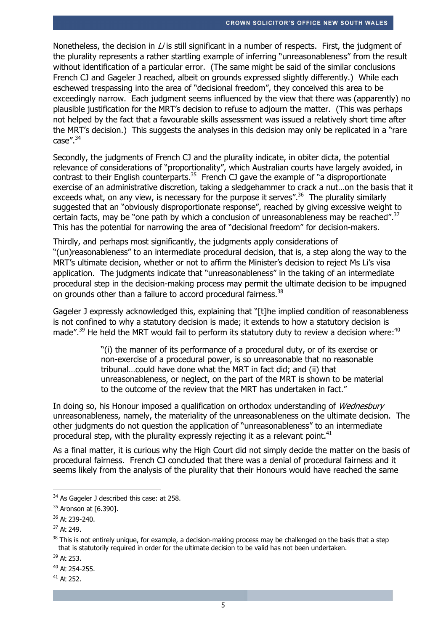Nonetheless, the decision in  $Li$  is still significant in a number of respects. First, the judgment of the plurality represents a rather startling example of inferring "unreasonableness" from the result without identification of a particular error. (The same might be said of the similar conclusions French CJ and Gageler J reached, albeit on grounds expressed slightly differently.) While each eschewed trespassing into the area of "decisional freedom", they conceived this area to be exceedingly narrow. Each judgment seems influenced by the view that there was (apparently) no plausible justification for the MRT's decision to refuse to adjourn the matter. (This was perhaps not helped by the fact that a favourable skills assessment was issued a relatively short time after the MRT's decision.) This suggests the analyses in this decision may only be replicated in a "rare  $case''<sup>34</sup>$ 

Secondly, the judgments of French CJ and the plurality indicate, in obiter dicta, the potential relevance of considerations of "proportionality", which Australian courts have largely avoided, in contrast to their English counterparts.<sup>35</sup> French CJ gave the example of "a disproportionate" exercise of an administrative discretion, taking a sledgehammer to crack a nut…on the basis that it exceeds what, on any view, is necessary for the purpose it serves".<sup>36</sup> The plurality similarly suggested that an "obviously disproportionate response", reached by giving excessive weight to certain facts, may be "one path by which a conclusion of unreasonableness may be reached".<sup>37</sup> This has the potential for narrowing the area of "decisional freedom" for decision-makers.

Thirdly, and perhaps most significantly, the judgments apply considerations of "(un)reasonableness" to an intermediate procedural decision, that is, a step along the way to the MRT's ultimate decision, whether or not to affirm the Minister's decision to reject Ms Li's visa application. The judgments indicate that "unreasonableness" in the taking of an intermediate procedural step in the decision-making process may permit the ultimate decision to be impugned on grounds other than a failure to accord procedural fairness. $^{38}$ 

Gageler J expressly acknowledged this, explaining that "[t]he implied condition of reasonableness is not confined to why a statutory decision is made; it extends to how a statutory decision is made".<sup>39</sup> He held the MRT would fail to perform its statutory duty to review a decision where:<sup>40</sup>

> "(i) the manner of its performance of a procedural duty, or of its exercise or non-exercise of a procedural power, is so unreasonable that no reasonable tribunal…could have done what the MRT in fact did; and (ii) that unreasonableness, or neglect, on the part of the MRT is shown to be material to the outcome of the review that the MRT has undertaken in fact."

In doing so, his Honour imposed a qualification on orthodox understanding of Wednesbury unreasonableness, namely, the materiality of the unreasonableness on the ultimate decision. The other judgments do not question the application of "unreasonableness" to an intermediate procedural step, with the plurality expressly rejecting it as a relevant point. $41$ 

As a final matter, it is curious why the High Court did not simply decide the matter on the basis of procedural fairness. French CJ concluded that there was a denial of procedural fairness and it seems likely from the analysis of the plurality that their Honours would have reached the same

-

 $34$  As Gageler J described this case: at 258.

<sup>&</sup>lt;sup>35</sup> Aronson at [6.390].

<sup>36</sup> At 239-240.

<sup>37</sup> At 249.

 $38$  This is not entirely unique, for example, a decision-making process may be challenged on the basis that a step that is statutorily required in order for the ultimate decision to be valid has not been undertaken.

<sup>39</sup> At 253.

<sup>40</sup> At 254-255.

<sup>41</sup> At 252.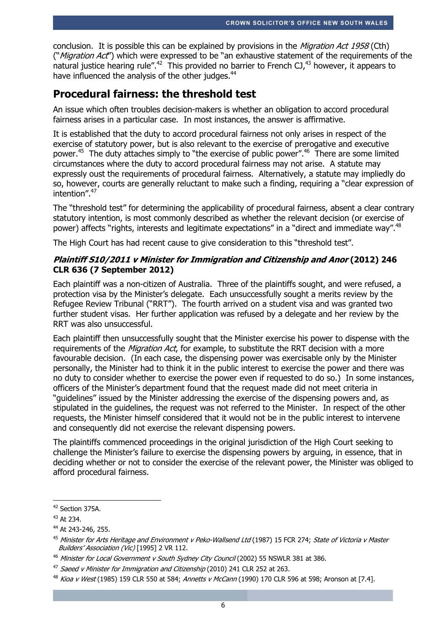conclusion. It is possible this can be explained by provisions in the *Migration Act 1958* (Cth) ("*Migration Act*") which were expressed to be "an exhaustive statement of the requirements of the natural justice hearing rule".<sup>42</sup> This provided no barrier to French CJ.<sup>43</sup> however, it appears to have influenced the analysis of the other judges.<sup>44</sup>

# **Procedural fairness: the threshold test**

An issue which often troubles decision-makers is whether an obligation to accord procedural fairness arises in a particular case. In most instances, the answer is affirmative.

It is established that the duty to accord procedural fairness not only arises in respect of the exercise of statutory power, but is also relevant to the exercise of prerogative and executive power.<sup>45</sup> The duty attaches simply to "the exercise of public power".<sup>46</sup> There are some limited circumstances where the duty to accord procedural fairness may not arise. A statute may expressly oust the requirements of procedural fairness. Alternatively, a statute may impliedly do so, however, courts are generally reluctant to make such a finding, requiring a "clear expression of intention".<sup>47</sup>

The "threshold test" for determining the applicability of procedural fairness, absent a clear contrary statutory intention, is most commonly described as whether the relevant decision (or exercise of power) affects "rights, interests and legitimate expectations" in a "direct and immediate way".<sup>48</sup>

The High Court has had recent cause to give consideration to this "threshold test".

### **Plaintiff S10/2011 v Minister for Immigration and Citizenship and Anor (2012) 246 CLR 636 (7 September 2012)**

Each plaintiff was a non-citizen of Australia. Three of the plaintiffs sought, and were refused, a protection visa by the Minister's delegate. Each unsuccessfully sought a merits review by the Refugee Review Tribunal ("RRT"). The fourth arrived on a student visa and was granted two further student visas. Her further application was refused by a delegate and her review by the RRT was also unsuccessful.

Each plaintiff then unsuccessfully sought that the Minister exercise his power to dispense with the requirements of the *Migration Act*, for example, to substitute the RRT decision with a more favourable decision. (In each case, the dispensing power was exercisable only by the Minister personally, the Minister had to think it in the public interest to exercise the power and there was no duty to consider whether to exercise the power even if requested to do so.) In some instances, officers of the Minister's department found that the request made did not meet criteria in "guidelines" issued by the Minister addressing the exercise of the dispensing powers and, as stipulated in the guidelines, the request was not referred to the Minister. In respect of the other requests, the Minister himself considered that it would not be in the public interest to intervene and consequently did not exercise the relevant dispensing powers.

The plaintiffs commenced proceedings in the original jurisdiction of the High Court seeking to challenge the Minister's failure to exercise the dispensing powers by arguing, in essence, that in deciding whether or not to consider the exercise of the relevant power, the Minister was obliged to afford procedural fairness.

-

<sup>&</sup>lt;sup>42</sup> Section 375A.

<sup>43</sup> At 234.

<sup>44</sup> At 243-246, 255.

<sup>&</sup>lt;sup>45</sup> Minister for Arts Heritage and Environment v Peko-Wallsend Ltd (1987) 15 FCR 274; State of Victoria v Master Builders' Association (Vic) [1995] 2 VR 112.

<sup>&</sup>lt;sup>46</sup> Minister for Local Government v South Sydney City Council (2002) 55 NSWLR 381 at 386.

<sup>47</sup> Saeed v Minister for Immigration and Citizenship (2010) 241 CLR 252 at 263.

<sup>48</sup> *Kioa v West* (1985) 159 CLR 550 at 584; *Annetts v McCann* (1990) 170 CLR 596 at 598; Aronson at [7.4].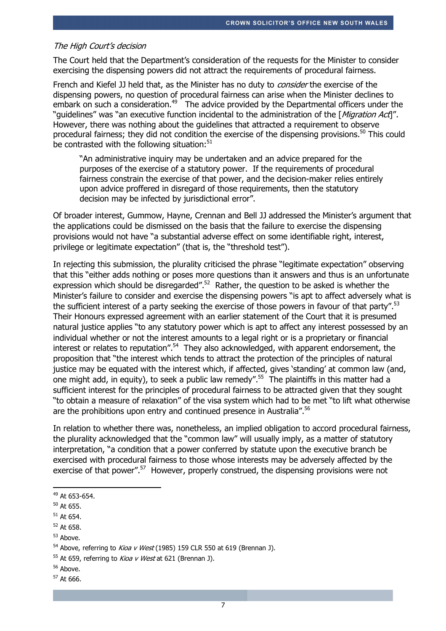#### The High Court's decision

The Court held that the Department's consideration of the requests for the Minister to consider exercising the dispensing powers did not attract the requirements of procedural fairness.

French and Kiefel JJ held that, as the Minister has no duty to *consider* the exercise of the dispensing powers, no question of procedural fairness can arise when the Minister declines to embark on such a consideration.<sup>49</sup> The advice provided by the Departmental officers under the "quidelines" was "an executive function incidental to the administration of the [Migration Act]". However, there was nothing about the guidelines that attracted a requirement to observe procedural fairness; they did not condition the exercise of the dispensing provisions.<sup>50</sup> This could be contrasted with the following situation: $51$ 

"An administrative inquiry may be undertaken and an advice prepared for the purposes of the exercise of a statutory power. If the requirements of procedural fairness constrain the exercise of that power, and the decision-maker relies entirely upon advice proffered in disregard of those requirements, then the statutory decision may be infected by jurisdictional error".

Of broader interest, Gummow, Hayne, Crennan and Bell JJ addressed the Minister's argument that the applications could be dismissed on the basis that the failure to exercise the dispensing provisions would not have "a substantial adverse effect on some identifiable right, interest, privilege or legitimate expectation" (that is, the "threshold test").

In rejecting this submission, the plurality criticised the phrase "legitimate expectation" observing that this "either adds nothing or poses more questions than it answers and thus is an unfortunate expression which should be disregarded".<sup>52</sup> Rather, the question to be asked is whether the Minister's failure to consider and exercise the dispensing powers "is apt to affect adversely what is the sufficient interest of a party seeking the exercise of those powers in favour of that party".<sup>53</sup> Their Honours expressed agreement with an earlier statement of the Court that it is presumed natural justice applies "to any statutory power which is apt to affect any interest possessed by an individual whether or not the interest amounts to a legal right or is a proprietary or financial interest or relates to reputation".<sup>54</sup> They also acknowledged, with apparent endorsement, the proposition that "the interest which tends to attract the protection of the principles of natural justice may be equated with the interest which, if affected, gives 'standing' at common law (and, one might add, in equity), to seek a public law remedy".<sup>55</sup> The plaintiffs in this matter had a sufficient interest for the principles of procedural fairness to be attracted given that they sought "to obtain a measure of relaxation" of the visa system which had to be met "to lift what otherwise are the prohibitions upon entry and continued presence in Australia".<sup>56</sup>

In relation to whether there was, nonetheless, an implied obligation to accord procedural fairness, the plurality acknowledged that the "common law" will usually imply, as a matter of statutory interpretation, "a condition that a power conferred by statute upon the executive branch be exercised with procedural fairness to those whose interests may be adversely affected by the exercise of that power".<sup>57</sup> However, properly construed, the dispensing provisions were not

<sup>53</sup> Above.

- <sup>56</sup> Above.
- <sup>57</sup> At 666.

<sup>-</sup><sup>49</sup> At 653-654.

 $50$  At 655.

<sup>51</sup> At 654.

<sup>52</sup> At 658.

 $54$  Above, referring to *Kioa v West* (1985) 159 CLR 550 at 619 (Brennan J).

 $55$  At 659, referring to *Kioa v West* at 621 (Brennan J).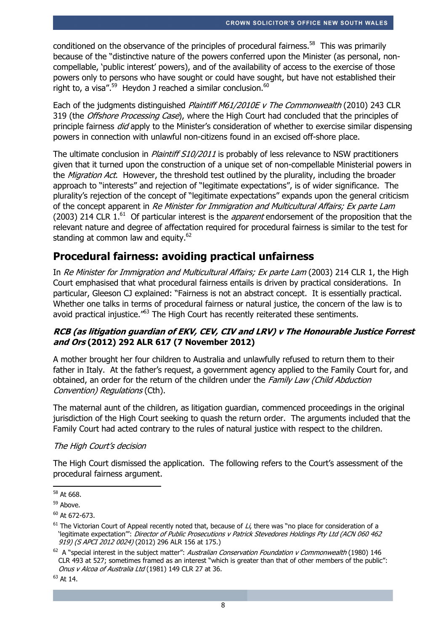conditioned on the observance of the principles of procedural fairness.<sup>58</sup> This was primarily because of the "distinctive nature of the powers conferred upon the Minister (as personal, noncompellable, 'public interest' powers), and of the availability of access to the exercise of those powers only to persons who have sought or could have sought, but have not established their right to, a visa".<sup>59</sup> Heydon J reached a similar conclusion.<sup>60</sup>

Each of the judgments distinguished Plaintiff M61/2010E v The Commonwealth (2010) 243 CLR 319 (the Offshore Processing Case), where the High Court had concluded that the principles of principle fairness *did* apply to the Minister's consideration of whether to exercise similar dispensing powers in connection with unlawful non-citizens found in an excised off-shore place.

The ultimate conclusion in *Plaintiff S10/2011* is probably of less relevance to NSW practitioners given that it turned upon the construction of a unique set of non-compellable Ministerial powers in the *Migration Act*. However, the threshold test outlined by the plurality, including the broader approach to "interests" and rejection of "legitimate expectations", is of wider significance. The plurality's rejection of the concept of "legitimate expectations" expands upon the general criticism of the concept apparent in Re Minister for Immigration and Multicultural Affairs; Ex parte Lam (2003) 214 CLR  $1^{61}$  Of particular interest is the *apparent* endorsement of the proposition that the relevant nature and degree of affectation required for procedural fairness is similar to the test for standing at common law and equity.<sup>62</sup>

# **Procedural fairness: avoiding practical unfairness**

In Re Minister for Immigration and Multicultural Affairs; Ex parte Lam (2003) 214 CLR 1, the High Court emphasised that what procedural fairness entails is driven by practical considerations. In particular, Gleeson CJ explained: "Fairness is not an abstract concept. It is essentially practical. Whether one talks in terms of procedural fairness or natural justice, the concern of the law is to avoid practical injustice."<sup>63</sup> The High Court has recently reiterated these sentiments.

## **RCB (as litigation guardian of EKV, CEV, CIV and LRV) v The Honourable Justice Forrest and Ors (2012) 292 ALR 617 (7 November 2012)**

A mother brought her four children to Australia and unlawfully refused to return them to their father in Italy. At the father's request, a government agency applied to the Family Court for, and obtained, an order for the return of the children under the Family Law (Child Abduction Convention) Regulations (Cth).

The maternal aunt of the children, as litigation guardian, commenced proceedings in the original jurisdiction of the High Court seeking to quash the return order. The arguments included that the Family Court had acted contrary to the rules of natural justice with respect to the children.

## The High Court's decision

The High Court dismissed the application. The following refers to the Court's assessment of the procedural fairness argument.

<sup>-</sup><sup>58</sup> At 668.

<sup>&</sup>lt;sup>59</sup> Above.

 $60$  At 672-673.

 $61$  The Victorian Court of Appeal recently noted that, because of Li, there was "no place for consideration of a 'legitimate expectation'": Director of Public Prosecutions v Patrick Stevedores Holdings Pty Ltd (ACN 060 462 919) (S APCI 2012 0024) (2012) 296 ALR 156 at 175.)

 $62$  A "special interest in the subject matter": Australian Conservation Foundation v Commonwealth (1980) 146 CLR 493 at 527; sometimes framed as an interest "which is greater than that of other members of the public": Onus v Alcoa of Australia Ltd (1981) 149 CLR 27 at 36.

<sup>63</sup> At 14.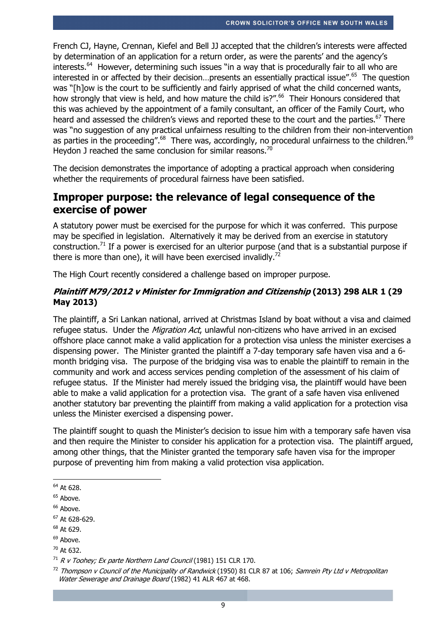French CJ, Hayne, Crennan, Kiefel and Bell JJ accepted that the children's interests were affected by determination of an application for a return order, as were the parents' and the agency's interests.<sup>64</sup> However, determining such issues "in a way that is procedurally fair to all who are interested in or affected by their decision...presents an essentially practical issue".<sup>65</sup> The question was "[h]ow is the court to be sufficiently and fairly apprised of what the child concerned wants, how strongly that view is held, and how mature the child is?".<sup>66</sup> Their Honours considered that this was achieved by the appointment of a family consultant, an officer of the Family Court, who heard and assessed the children's views and reported these to the court and the parties.<sup>67</sup> There was "no suggestion of any practical unfairness resulting to the children from their non-intervention as parties in the proceeding".<sup>68</sup> There was, accordingly, no procedural unfairness to the children.<sup>69</sup> Heydon J reached the same conclusion for similar reasons.<sup>70</sup>

The decision demonstrates the importance of adopting a practical approach when considering whether the requirements of procedural fairness have been satisfied.

# **Improper purpose: the relevance of legal consequence of the exercise of power**

A statutory power must be exercised for the purpose for which it was conferred. This purpose may be specified in legislation. Alternatively it may be derived from an exercise in statutory construction.<sup>71</sup> If a power is exercised for an ulterior purpose (and that is a substantial purpose if there is more than one), it will have been exercised invalidly.<sup>72</sup>

The High Court recently considered a challenge based on improper purpose.

## **Plaintiff M79/2012 v Minister for Immigration and Citizenship (2013) 298 ALR 1 (29 May 2013)**

The plaintiff, a Sri Lankan national, arrived at Christmas Island by boat without a visa and claimed refugee status. Under the *Migration Act*, unlawful non-citizens who have arrived in an excised offshore place cannot make a valid application for a protection visa unless the minister exercises a dispensing power. The Minister granted the plaintiff a 7-day temporary safe haven visa and a 6 month bridging visa. The purpose of the bridging visa was to enable the plaintiff to remain in the community and work and access services pending completion of the assessment of his claim of refugee status. If the Minister had merely issued the bridging visa, the plaintiff would have been able to make a valid application for a protection visa. The grant of a safe haven visa enlivened another statutory bar preventing the plaintiff from making a valid application for a protection visa unless the Minister exercised a dispensing power.

The plaintiff sought to quash the Minister's decision to issue him with a temporary safe haven visa and then require the Minister to consider his application for a protection visa. The plaintiff argued, among other things, that the Minister granted the temporary safe haven visa for the improper purpose of preventing him from making a valid protection visa application.

<sup>-</sup><sup>64</sup> At 628.

 $65$  Above.

<sup>&</sup>lt;sup>66</sup> Above.

 $67$  At 628-629.

<sup>68</sup> At 629.

 $69$  Above.

 $70$  At 632.

 $71$  R v Toohey; Ex parte Northern Land Council (1981) 151 CLR 170.

<sup>&</sup>lt;sup>72</sup> Thompson v Council of the Municipality of Randwick (1950) 81 CLR 87 at 106; Samrein Pty Ltd v Metropolitan Water Sewerage and Drainage Board (1982) 41 ALR 467 at 468.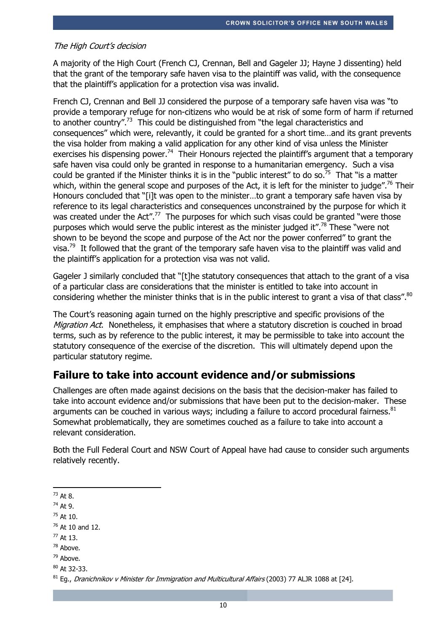#### The High Court's decision

A majority of the High Court (French CJ, Crennan, Bell and Gageler JJ; Hayne J dissenting) held that the grant of the temporary safe haven visa to the plaintiff was valid, with the consequence that the plaintiff's application for a protection visa was invalid.

French CJ, Crennan and Bell JJ considered the purpose of a temporary safe haven visa was "to provide a temporary refuge for non-citizens who would be at risk of some form of harm if returned to another country".<sup>73</sup> This could be distinguished from "the legal characteristics and consequences" which were, relevantly, it could be granted for a short time…and its grant prevents the visa holder from making a valid application for any other kind of visa unless the Minister exercises his dispensing power.<sup>74</sup> Their Honours rejected the plaintiff's argument that a temporary safe haven visa could only be granted in response to a humanitarian emergency. Such a visa could be granted if the Minister thinks it is in the "public interest" to do so.<sup>75</sup> That "is a matter which, within the general scope and purposes of the Act, it is left for the minister to judge".<sup>76</sup> Their Honours concluded that "[i]t was open to the minister…to grant a temporary safe haven visa by reference to its legal characteristics and consequences unconstrained by the purpose for which it was created under the Act".<sup>77</sup> The purposes for which such visas could be granted "were those purposes which would serve the public interest as the minister judged it".<sup>78</sup> These "were not shown to be beyond the scope and purpose of the Act nor the power conferred" to grant the visa.<sup>79</sup> It followed that the grant of the temporary safe haven visa to the plaintiff was valid and the plaintiff's application for a protection visa was not valid.

Gageler J similarly concluded that "[t]he statutory consequences that attach to the grant of a visa of a particular class are considerations that the minister is entitled to take into account in considering whether the minister thinks that is in the public interest to grant a visa of that class". $^{80}$ 

The Court's reasoning again turned on the highly prescriptive and specific provisions of the Migration Act. Nonetheless, it emphasises that where a statutory discretion is couched in broad terms, such as by reference to the public interest, it may be permissible to take into account the statutory consequence of the exercise of the discretion. This will ultimately depend upon the particular statutory regime.

## **Failure to take into account evidence and/or submissions**

Challenges are often made against decisions on the basis that the decision-maker has failed to take into account evidence and/or submissions that have been put to the decision-maker. These arguments can be couched in various ways; including a failure to accord procedural fairness. $^{81}$ Somewhat problematically, they are sometimes couched as a failure to take into account a relevant consideration.

Both the Full Federal Court and NSW Court of Appeal have had cause to consider such arguments relatively recently.

- $^{73}$  At 8.

<sup>78</sup> Above.

 $74$  At 9.

 $75$  At 10.

 $76$  At 10 and 12.

<sup>77</sup> At 13.

 $79$  Above.

 $80$  At 32-33.

 $81$  Eq., Dranichnikov v Minister for Immigration and Multicultural Affairs (2003) 77 ALJR 1088 at [24].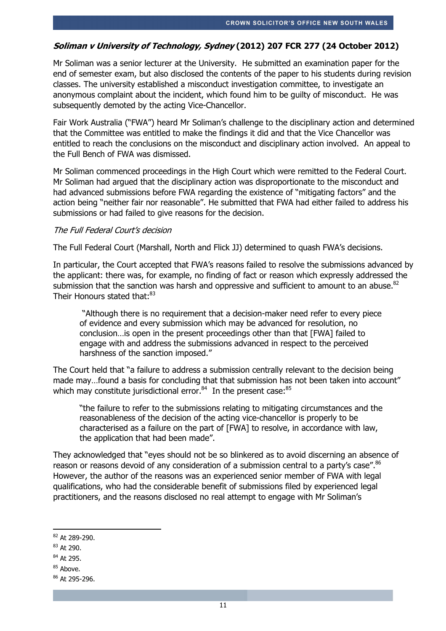## **Soliman v University of Technology, Sydney (2012) 207 FCR 277 (24 October 2012)**

Mr Soliman was a senior lecturer at the University. He submitted an examination paper for the end of semester exam, but also disclosed the contents of the paper to his students during revision classes. The university established a misconduct investigation committee, to investigate an anonymous complaint about the incident, which found him to be guilty of misconduct. He was subsequently demoted by the acting Vice-Chancellor.

Fair Work Australia ("FWA") heard Mr Soliman's challenge to the disciplinary action and determined that the Committee was entitled to make the findings it did and that the Vice Chancellor was entitled to reach the conclusions on the misconduct and disciplinary action involved. An appeal to the Full Bench of FWA was dismissed.

Mr Soliman commenced proceedings in the High Court which were remitted to the Federal Court. Mr Soliman had argued that the disciplinary action was disproportionate to the misconduct and had advanced submissions before FWA regarding the existence of "mitigating factors" and the action being "neither fair nor reasonable". He submitted that FWA had either failed to address his submissions or had failed to give reasons for the decision.

#### The Full Federal Court's decision

The Full Federal Court (Marshall, North and Flick JJ) determined to quash FWA's decisions.

In particular, the Court accepted that FWA's reasons failed to resolve the submissions advanced by the applicant: there was, for example, no finding of fact or reason which expressly addressed the submission that the sanction was harsh and oppressive and sufficient to amount to an abuse. $^{82}$ Their Honours stated that:<sup>83</sup>

 "Although there is no requirement that a decision-maker need refer to every piece of evidence and every submission which may be advanced for resolution, no conclusion…is open in the present proceedings other than that [FWA] failed to engage with and address the submissions advanced in respect to the perceived harshness of the sanction imposed."

The Court held that "a failure to address a submission centrally relevant to the decision being made may...found a basis for concluding that that submission has not been taken into account" which may constitute jurisdictional error. $84$  In the present case:  $85$ 

"the failure to refer to the submissions relating to mitigating circumstances and the reasonableness of the decision of the acting vice-chancellor is properly to be characterised as a failure on the part of [FWA] to resolve, in accordance with law, the application that had been made".

They acknowledged that "eyes should not be so blinkered as to avoid discerning an absence of reason or reasons devoid of any consideration of a submission central to a party's case".<sup>86</sup> However, the author of the reasons was an experienced senior member of FWA with legal qualifications, who had the considerable benefit of submissions filed by experienced legal practitioners, and the reasons disclosed no real attempt to engage with Mr Soliman's

- <sup>84</sup> At 295.
- <sup>85</sup> Above.

<sup>1</sup> <sup>82</sup> At 289-290.

<sup>83</sup> At 290.

<sup>86</sup> At 295-296.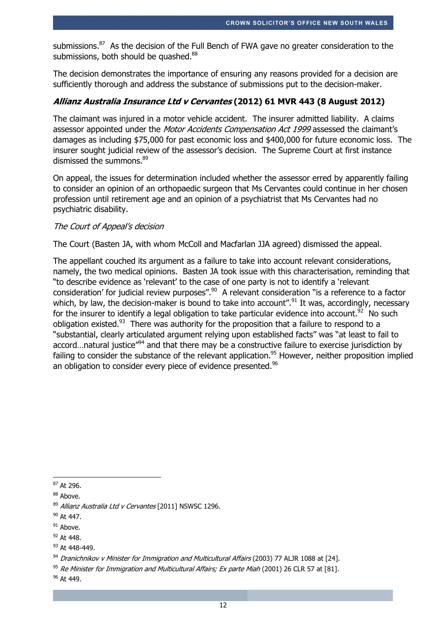submissions.<sup>87</sup> As the decision of the Full Bench of FWA gave no greater consideration to the submissions, both should be quashed.<sup>88</sup>

The decision demonstrates the importance of ensuring any reasons provided for a decision are sufficiently thorough and address the substance of submissions put to the decision-maker.

### **Allianz Australia Insurance Ltd v Cervantes (2012) 61 MVR 443 (8 August 2012)**

The claimant was injured in a motor vehicle accident. The insurer admitted liability. A claims assessor appointed under the *Motor Accidents Compensation Act 1999* assessed the claimant's damages as including \$75,000 for past economic loss and \$400,000 for future economic loss. The insurer sought judicial review of the assessor's decision. The Supreme Court at first instance dismissed the summons.<sup>89</sup>

On appeal, the issues for determination included whether the assessor erred by apparently failing to consider an opinion of an orthopaedic surgeon that Ms Cervantes could continue in her chosen profession until retirement age and an opinion of a psychiatrist that Ms Cervantes had no psychiatric disability.

#### The Court of Appeal's decision

The Court (Basten JA, with whom McColl and Macfarlan JJA agreed) dismissed the appeal.

The appellant couched its argument as a failure to take into account relevant considerations, namely, the two medical opinions. Basten JA took issue with this characterisation, reminding that "to describe evidence as 'relevant' to the case of one party is not to identify a 'relevant consideration' for judicial review purposes".<sup>90</sup> A relevant consideration "is a reference to a factor which, by law, the decision-maker is bound to take into account".<sup>91</sup> It was, accordingly, necessary for the insurer to identify a legal obligation to take particular evidence into account.<sup>92</sup> No such obligation existed. $93$  There was authority for the proposition that a failure to respond to a "substantial, clearly articulated argument relying upon established facts" was "at least to fail to accord...natural justice"<sup>94</sup> and that there may be a constructive failure to exercise jurisdiction by failing to consider the substance of the relevant application.<sup>95</sup> However, neither proposition implied an obligation to consider every piece of evidence presented.<sup>96</sup>

<sup>-</sup><sup>87</sup> At 296.

<sup>88</sup> Above.

<sup>89</sup> Allianz Australia Ltd v Cervantes [2011] NSWSC 1296.

<sup>&</sup>lt;sup>90</sup> At 447.

 $91$  Above.

<sup>92</sup> At 448.

<sup>93</sup> At 448-449.

<sup>94</sup> Dranichnikov v Minister for Immigration and Multicultural Affairs (2003) 77 ALJR 1088 at [24].

<sup>&</sup>lt;sup>95</sup> Re Minister for Immigration and Multicultural Affairs; Ex parte Miah (2001) 26 CLR 57 at [81].

<sup>&</sup>lt;sup>96</sup> At 449.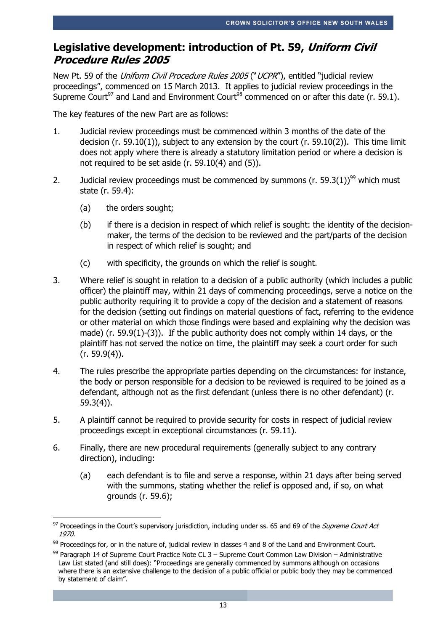# **Legislative development: introduction of Pt. 59, Uniform Civil Procedure Rules 2005**

New Pt. 59 of the Uniform Civil Procedure Rules 2005 ("UCPR"), entitled "judicial review proceedings", commenced on 15 March 2013. It applies to judicial review proceedings in the Supreme Court<sup>97</sup> and Land and Environment Court<sup>98</sup> commenced on or after this date (r. 59.1).

The key features of the new Part are as follows:

- 1. Judicial review proceedings must be commenced within 3 months of the date of the decision (r. 59.10(1)), subject to any extension by the court (r. 59.10(2)). This time limit does not apply where there is already a statutory limitation period or where a decision is not required to be set aside (r. 59.10(4) and (5)).
- 2. Judicial review proceedings must be commenced by summons (r. 59.3(1))<sup>99</sup> which must state (r. 59.4):
	- (a) the orders sought;
	- (b) if there is a decision in respect of which relief is sought: the identity of the decisionmaker, the terms of the decision to be reviewed and the part/parts of the decision in respect of which relief is sought; and
	- (c) with specificity, the grounds on which the relief is sought.
- 3. Where relief is sought in relation to a decision of a public authority (which includes a public officer) the plaintiff may, within 21 days of commencing proceedings, serve a notice on the public authority requiring it to provide a copy of the decision and a statement of reasons for the decision (setting out findings on material questions of fact, referring to the evidence or other material on which those findings were based and explaining why the decision was made) (r. 59.9(1)-(3)). If the public authority does not comply within 14 days, or the plaintiff has not served the notice on time, the plaintiff may seek a court order for such (r. 59.9(4)).
- 4. The rules prescribe the appropriate parties depending on the circumstances: for instance, the body or person responsible for a decision to be reviewed is required to be joined as a defendant, although not as the first defendant (unless there is no other defendant) (r. 59.3(4)).
- 5. A plaintiff cannot be required to provide security for costs in respect of judicial review proceedings except in exceptional circumstances (r. 59.11).
- 6. Finally, there are new procedural requirements (generally subject to any contrary direction), including:
	- (a) each defendant is to file and serve a response, within 21 days after being served with the summons, stating whether the relief is opposed and, if so, on what grounds (r. 59.6);

<sup>-</sup><sup>97</sup> Proceedings in the Court's supervisory jurisdiction, including under ss. 65 and 69 of the *Supreme Court Act* 1970.

<sup>98</sup> Proceedings for, or in the nature of, judicial review in classes 4 and 8 of the Land and Environment Court.

 $99$  Paragraph 14 of Supreme Court Practice Note CL 3 – Supreme Court Common Law Division – Administrative Law List stated (and still does): "Proceedings are generally commenced by summons although on occasions where there is an extensive challenge to the decision of a public official or public body they may be commenced by statement of claim".